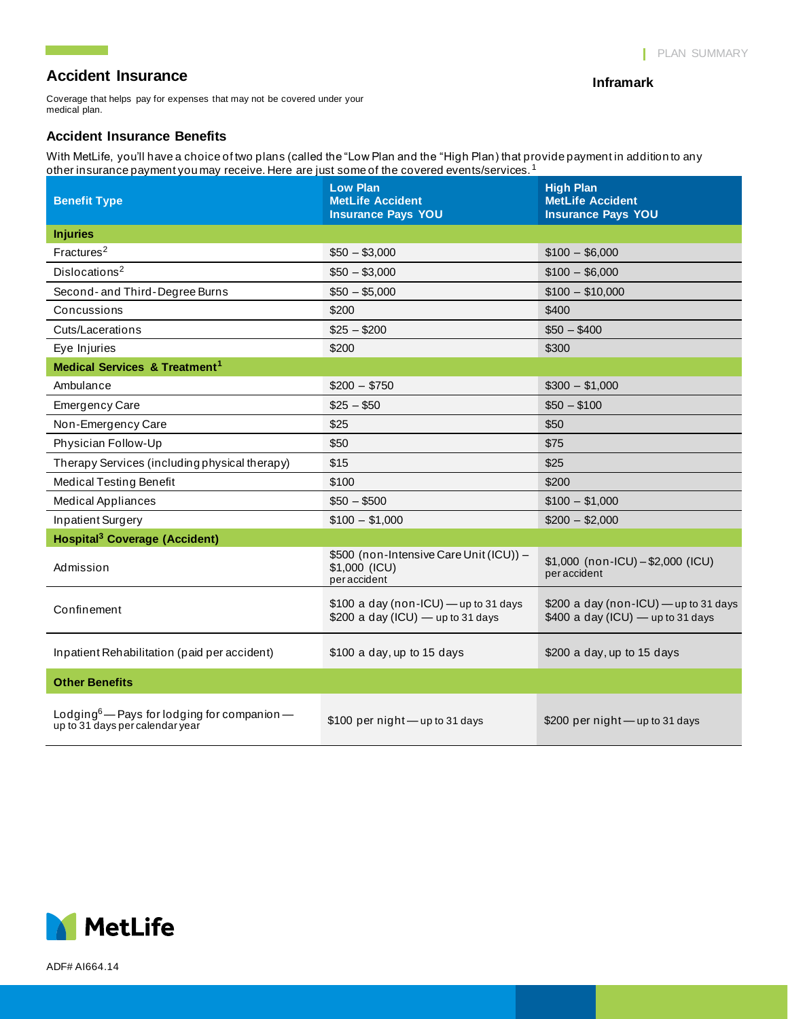**Inframark**

## **Accident Insurance**

<u> Tanzania (</u>

Coverage that helps pay for expenses that may not be covered under your medical plan.

#### **Accident Insurance Benefits**

With MetLife, you'll have a choice of two plans (called the "Low Plan and the "High Plan) that provide payment in addition to any other insurance payment you may receive. Here are just some of the covered events/services.  $^1$ 

| <b>Benefit Type</b>                                                                        | <b>Low Plan</b><br><b>MetLife Accident</b><br><b>Insurance Pays YOU</b>      | <b>High Plan</b><br><b>MetLife Accident</b><br><b>Insurance Pays YOU</b>      |
|--------------------------------------------------------------------------------------------|------------------------------------------------------------------------------|-------------------------------------------------------------------------------|
| <b>Injuries</b>                                                                            |                                                                              |                                                                               |
| Fractures <sup>2</sup>                                                                     | $$50 - $3,000$                                                               | $$100 - $6,000$                                                               |
| Dislocations <sup>2</sup>                                                                  | $$50 - $3,000$                                                               | $$100 - $6,000$                                                               |
| Second- and Third-Degree Burns                                                             | $$50 - $5,000$                                                               | $$100 - $10,000$                                                              |
| Concussions                                                                                | \$200                                                                        | \$400                                                                         |
| Cuts/Lacerations                                                                           | $$25 - $200$                                                                 | $$50 - $400$                                                                  |
| Eye Injuries                                                                               | \$200                                                                        | \$300                                                                         |
| <b>Medical Services &amp; Treatment<sup>1</sup></b>                                        |                                                                              |                                                                               |
| Ambulance                                                                                  | $$200 - $750$                                                                | $$300 - $1,000$                                                               |
| <b>Emergency Care</b>                                                                      | $$25 - $50$                                                                  | $$50 - $100$                                                                  |
| Non-Emergency Care                                                                         | \$25                                                                         | \$50                                                                          |
| Physician Follow-Up                                                                        | \$50                                                                         | \$75                                                                          |
| Therapy Services (including physical therapy)                                              | \$15                                                                         | \$25                                                                          |
| <b>Medical Testing Benefit</b>                                                             | \$100                                                                        | \$200                                                                         |
| <b>Medical Appliances</b>                                                                  | $$50 - $500$                                                                 | $$100 - $1,000$                                                               |
| Inpatient Surgery                                                                          | $$100 - $1,000$                                                              | $$200 - $2,000$                                                               |
| <b>Hospital<sup>3</sup></b> Coverage (Accident)                                            |                                                                              |                                                                               |
| Admission                                                                                  | \$500 (non-Intensive Care Unit (ICU)) -<br>\$1,000 (ICU)<br>peraccident      | $$1,000$ (non-ICU) - \$2,000 (ICU)<br>peraccident                             |
| Confinement                                                                                | \$100 a day (non-ICU) - up to 31 days<br>\$200 a day (ICU) $-$ up to 31 days | \$200 a day (non-ICU) - up to 31 days<br>$$400$ a day (ICU) $-$ up to 31 days |
| Inpatient Rehabilitation (paid per accident)                                               | \$100 a day, up to 15 days                                                   | \$200 a day, up to 15 days                                                    |
| <b>Other Benefits</b>                                                                      |                                                                              |                                                                               |
| Lodging <sup>6</sup> — Pays for lodging for companion —<br>up to 31 days per calendar year | \$100 per night - up to 31 days                                              | \$200 per night $-$ up to 31 days                                             |



ADF# AI664.14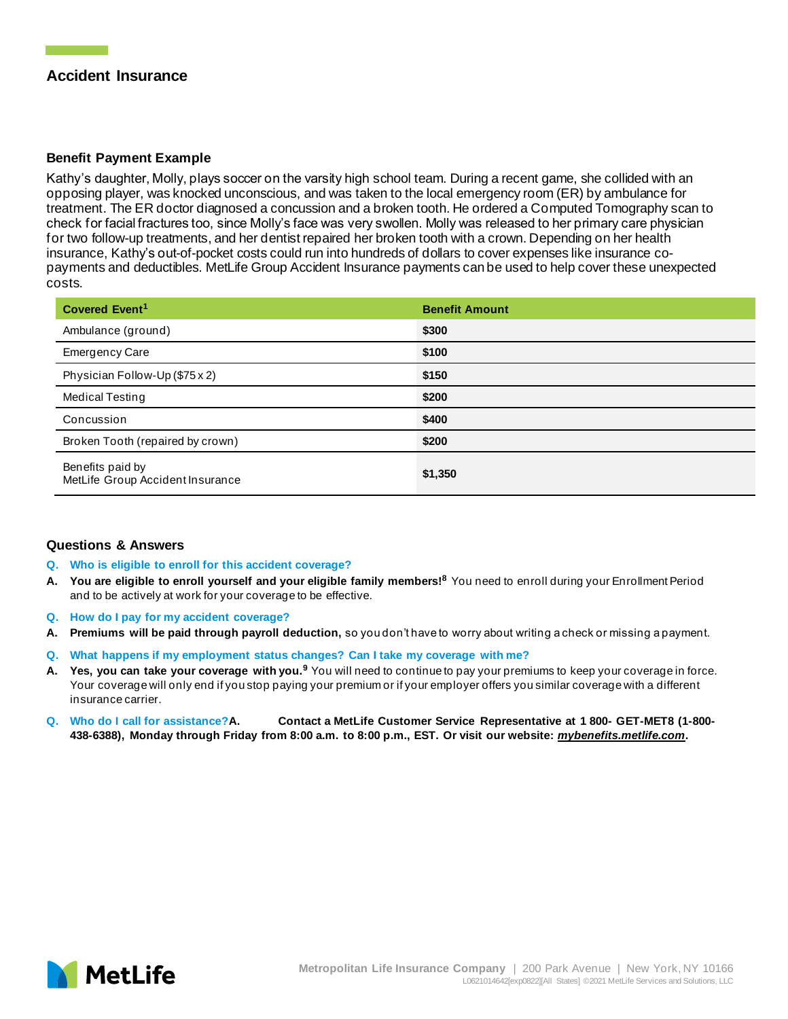## **Accident Insurance**

### **Benefit Payment Example**

Kathy's daughter, Molly, plays soccer on the varsity high school team. During a recent game, she collided with an opposing player, was knocked unconscious, and was taken to the local emergency room (ER) by ambulance for treatment. The ER doctor diagnosed a concussion and a broken tooth. He ordered a Computed Tomography scan to check for facial fractures too, since Molly's face was very swollen. Molly was released to her primary care physician for two follow-up treatments, and her dentist repaired her broken tooth with a crown. Depending on her health insurance, Kathy's out-of-pocket costs could run into hundreds of dollars to cover expenses like insurance copayments and deductibles. MetLife Group Accident Insurance payments can be used to help cover these unexpected costs.

| Covered Event <sup>1</sup>                           | <b>Benefit Amount</b> |
|------------------------------------------------------|-----------------------|
| Ambulance (ground)                                   | \$300                 |
| <b>Emergency Care</b>                                | \$100                 |
| Physician Follow-Up (\$75 x 2)                       | \$150                 |
| <b>Medical Testing</b>                               | \$200                 |
| Concussion                                           | \$400                 |
| Broken Tooth (repaired by crown)                     | \$200                 |
| Benefits paid by<br>MetLife Group Accident Insurance | \$1,350               |

#### **Questions & Answers**

#### **Q. Who is eligible to enroll for this accident coverage?**

- **A. You are eligible to enroll yourself and your eligible family members!<sup>8</sup>** You need to enroll during your Enrollment Period and to be actively at work for your coverage to be effective.
- **Q. How do I pay for my accident coverage?**
- **A. Premiums will be paid through payroll deduction,** so you don't have to worry about writing a check or missing a payment.
- **Q. What happens if my employment status changes? Can I take my coverage with me?**
- **A. Yes, you can take your coverage with you.<sup>9</sup>** You will need to continue to pay your premiums to keep your coverage in force. Your coverage will only end if you stop paying your premium or if your employer offers you similar coverage with a different insurance carrier.
- **Q. Who do I call for assistance?A. Contact a MetLife Customer Service Representative at 1 800- GET-MET8 (1-800- 438-6388), Monday through Friday from 8:00 a.m. to 8:00 p.m., EST. Or visit our website:** *mybenefits.metlife.com***.**